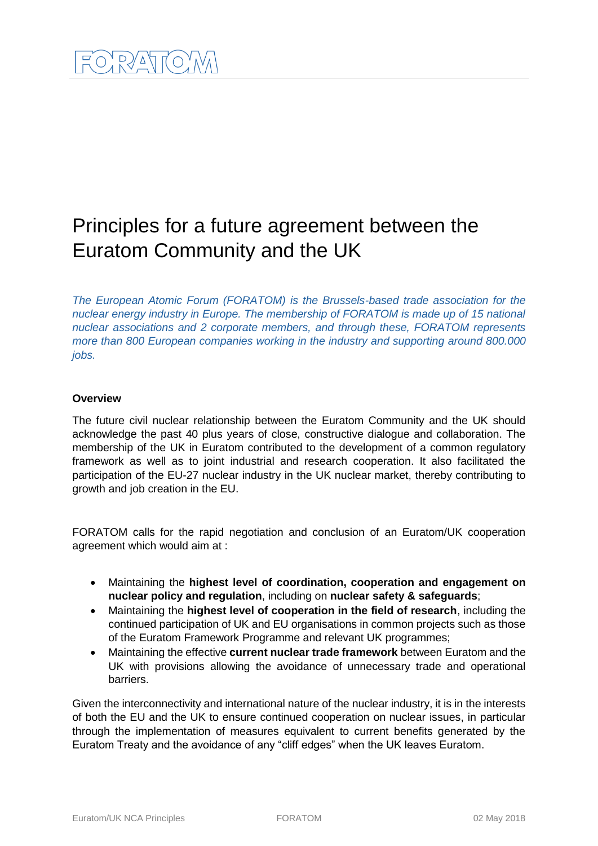# Principles for a future agreement between the Euratom Community and the UK

*The European Atomic Forum (FORATOM) is the Brussels-based trade association for the nuclear energy industry in Europe. The membership of FORATOM is made up of 15 national nuclear associations and 2 corporate members, and through these, FORATOM represents more than 800 European companies working in the industry and supporting around 800.000 jobs.*

## **Overview**

The future civil nuclear relationship between the Euratom Community and the UK should acknowledge the past 40 plus years of close, constructive dialogue and collaboration. The membership of the UK in Euratom contributed to the development of a common regulatory framework as well as to joint industrial and research cooperation. It also facilitated the participation of the EU-27 nuclear industry in the UK nuclear market, thereby contributing to growth and job creation in the EU.

FORATOM calls for the rapid negotiation and conclusion of an Euratom/UK cooperation agreement which would aim at :

- Maintaining the **highest level of coordination, cooperation and engagement on nuclear policy and regulation**, including on **nuclear safety & safeguards**;
- Maintaining the **highest level of cooperation in the field of research**, including the continued participation of UK and EU organisations in common projects such as those of the Euratom Framework Programme and relevant UK programmes;
- Maintaining the effective **current nuclear trade framework** between Euratom and the UK with provisions allowing the avoidance of unnecessary trade and operational barriers.

Given the interconnectivity and international nature of the nuclear industry, it is in the interests of both the EU and the UK to ensure continued cooperation on nuclear issues, in particular through the implementation of measures equivalent to current benefits generated by the Euratom Treaty and the avoidance of any "cliff edges" when the UK leaves Euratom.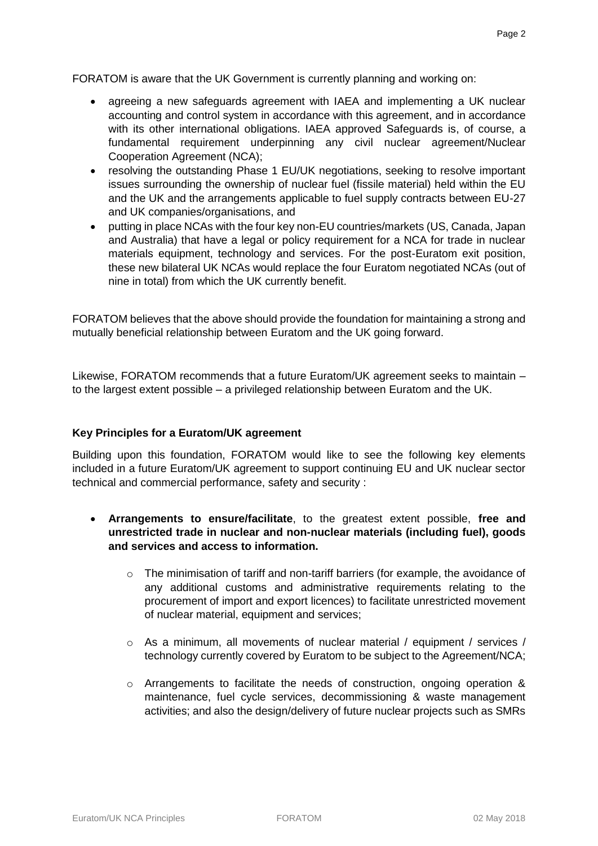FORATOM is aware that the UK Government is currently planning and working on:

- agreeing a new safeguards agreement with IAEA and implementing a UK nuclear accounting and control system in accordance with this agreement, and in accordance with its other international obligations. IAEA approved Safeguards is, of course, a fundamental requirement underpinning any civil nuclear agreement/Nuclear Cooperation Agreement (NCA);
- resolving the outstanding Phase 1 EU/UK negotiations, seeking to resolve important issues surrounding the ownership of nuclear fuel (fissile material) held within the EU and the UK and the arrangements applicable to fuel supply contracts between EU-27 and UK companies/organisations, and
- putting in place NCAs with the four key non-EU countries/markets (US, Canada, Japan and Australia) that have a legal or policy requirement for a NCA for trade in nuclear materials equipment, technology and services. For the post-Euratom exit position, these new bilateral UK NCAs would replace the four Euratom negotiated NCAs (out of nine in total) from which the UK currently benefit.

FORATOM believes that the above should provide the foundation for maintaining a strong and mutually beneficial relationship between Euratom and the UK going forward.

Likewise, FORATOM recommends that a future Euratom/UK agreement seeks to maintain – to the largest extent possible – a privileged relationship between Euratom and the UK.

#### **Key Principles for a Euratom/UK agreement**

Building upon this foundation, FORATOM would like to see the following key elements included in a future Euratom/UK agreement to support continuing EU and UK nuclear sector technical and commercial performance, safety and security :

- **Arrangements to ensure/facilitate**, to the greatest extent possible, **free and unrestricted trade in nuclear and non-nuclear materials (including fuel), goods and services and access to information.** 
	- o The minimisation of tariff and non-tariff barriers (for example, the avoidance of any additional customs and administrative requirements relating to the procurement of import and export licences) to facilitate unrestricted movement of nuclear material, equipment and services;
	- o As a minimum, all movements of nuclear material / equipment / services / technology currently covered by Euratom to be subject to the Agreement/NCA;
	- o Arrangements to facilitate the needs of construction, ongoing operation & maintenance, fuel cycle services, decommissioning & waste management activities; and also the design/delivery of future nuclear projects such as SMRs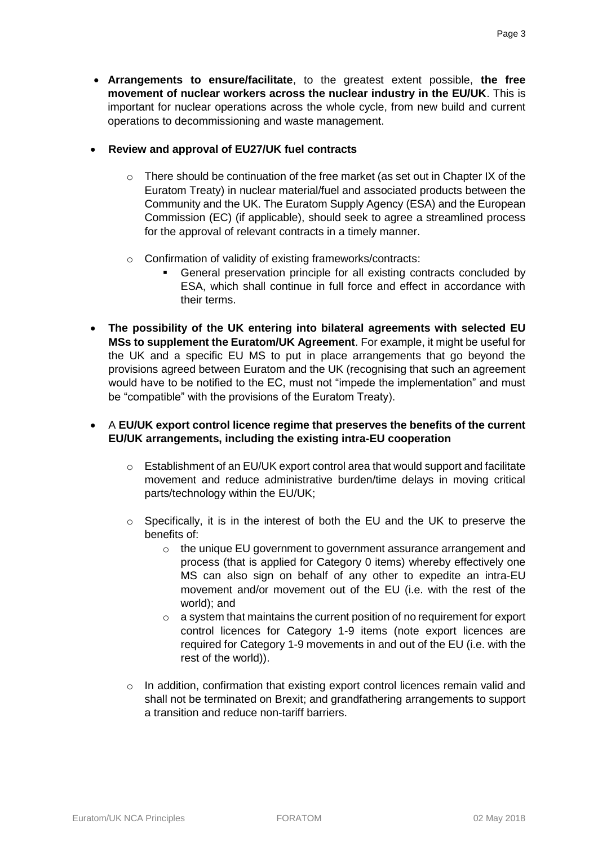• **Arrangements to ensure/facilitate**, to the greatest extent possible, **the free movement of nuclear workers across the nuclear industry in the EU/UK**. This is important for nuclear operations across the whole cycle, from new build and current operations to decommissioning and waste management.

#### • **Review and approval of EU27/UK fuel contracts**

- $\circ$  There should be continuation of the free market (as set out in Chapter IX of the Euratom Treaty) in nuclear material/fuel and associated products between the Community and the UK. The Euratom Supply Agency (ESA) and the European Commission (EC) (if applicable), should seek to agree a streamlined process for the approval of relevant contracts in a timely manner.
- o Confirmation of validity of existing frameworks/contracts:
	- General preservation principle for all existing contracts concluded by ESA, which shall continue in full force and effect in accordance with their terms.
- **The possibility of the UK entering into bilateral agreements with selected EU MSs to supplement the Euratom/UK Agreement**. For example, it might be useful for the UK and a specific EU MS to put in place arrangements that go beyond the provisions agreed between Euratom and the UK (recognising that such an agreement would have to be notified to the EC, must not "impede the implementation" and must be "compatible" with the provisions of the Euratom Treaty).

# • A **EU/UK export control licence regime that preserves the benefits of the current EU/UK arrangements, including the existing intra-EU cooperation**

- o Establishment of an EU/UK export control area that would support and facilitate movement and reduce administrative burden/time delays in moving critical parts/technology within the EU/UK;
- o Specifically, it is in the interest of both the EU and the UK to preserve the benefits of:
	- o the unique EU government to government assurance arrangement and process (that is applied for Category 0 items) whereby effectively one MS can also sign on behalf of any other to expedite an intra-EU movement and/or movement out of the EU (i.e. with the rest of the world); and
	- $\circ$  a system that maintains the current position of no requirement for export control licences for Category 1-9 items (note export licences are required for Category 1-9 movements in and out of the EU (i.e. with the rest of the world)).
- $\circ$  In addition, confirmation that existing export control licences remain valid and shall not be terminated on Brexit; and grandfathering arrangements to support a transition and reduce non-tariff barriers.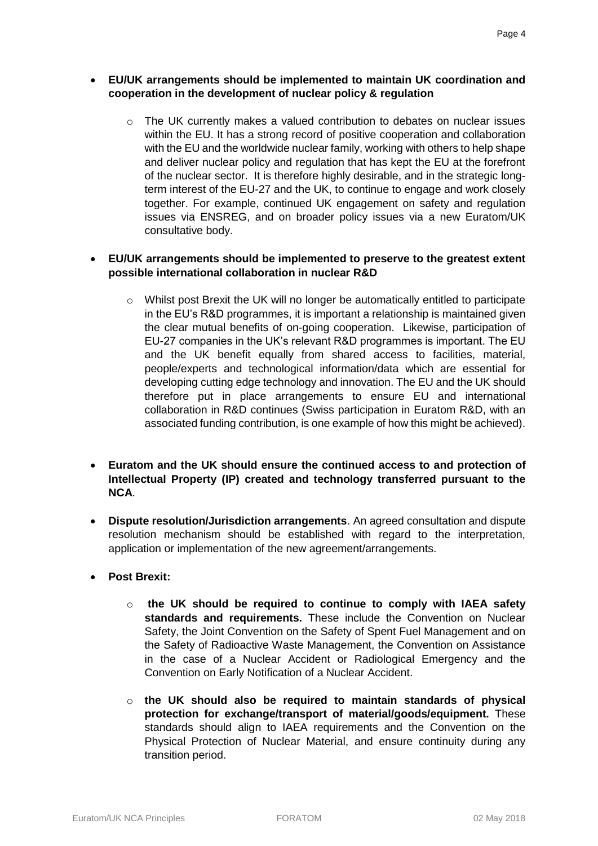- **EU/UK arrangements should be implemented to maintain UK coordination and cooperation in the development of nuclear policy & regulation**
	- o The UK currently makes a valued contribution to debates on nuclear issues within the EU. It has a strong record of positive cooperation and collaboration with the EU and the worldwide nuclear family, working with others to help shape and deliver nuclear policy and regulation that has kept the EU at the forefront of the nuclear sector. It is therefore highly desirable, and in the strategic longterm interest of the EU-27 and the UK, to continue to engage and work closely together. For example, continued UK engagement on safety and regulation issues via ENSREG, and on broader policy issues via a new Euratom/UK consultative body.

## • **EU/UK arrangements should be implemented to preserve to the greatest extent possible international collaboration in nuclear R&D**

- o Whilst post Brexit the UK will no longer be automatically entitled to participate in the EU's R&D programmes, it is important a relationship is maintained given the clear mutual benefits of on-going cooperation. Likewise, participation of EU-27 companies in the UK's relevant R&D programmes is important. The EU and the UK benefit equally from shared access to facilities, material, people/experts and technological information/data which are essential for developing cutting edge technology and innovation. The EU and the UK should therefore put in place arrangements to ensure EU and international collaboration in R&D continues (Swiss participation in Euratom R&D, with an associated funding contribution, is one example of how this might be achieved).
- **Euratom and the UK should ensure the continued access to and protection of Intellectual Property (IP) created and technology transferred pursuant to the NCA**.
- **Dispute resolution/Jurisdiction arrangements**. An agreed consultation and dispute resolution mechanism should be established with regard to the interpretation, application or implementation of the new agreement/arrangements.
- **Post Brexit:**
	- o **the UK should be required to continue to comply with IAEA safety standards and requirements.** These include the Convention on Nuclear Safety, the Joint Convention on the Safety of Spent Fuel Management and on the Safety of Radioactive Waste Management, the Convention on Assistance in the case of a Nuclear Accident or Radiological Emergency and the Convention on Early Notification of a Nuclear Accident.
	- o **the UK should also be required to maintain standards of physical protection for exchange/transport of material/goods/equipment.** These standards should align to IAEA requirements and the Convention on the Physical Protection of Nuclear Material, and ensure continuity during any transition period.